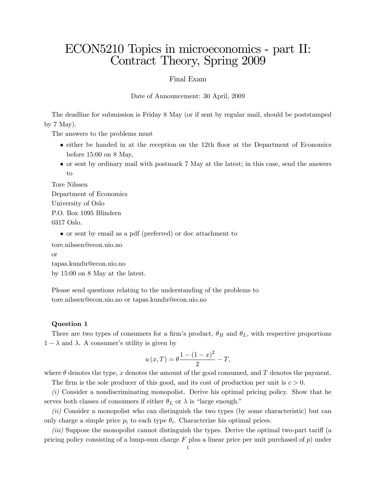## ECON5210 Topics in microeconomics - part II: Contract Theory, Spring 2009

Final Exam

Date of Announcement: 30 April, 2009

The deadline for submission is Friday 8 May (or if sent by regular mail, should be poststamped by  $7$  May).

The answers to the problems must

- $\bullet$  either be handed in at the reception on the 12th floor at the Department of Economics before 15:00 on 8 May,
- or sent by ordinary mail with postmark 7 May at the latest; in this case, send the answers to

Tore Nilssen Department of Economics University of Oslo P.O. Box 1095 Blindern 0317 Oslo.

or sent by email as a pdf (preferred) or doc attachment to

tore.nilssen@econ.uio.no

or

tapas.kundu@econ.uio.no

by 15:00 on 8 May at the latest.

Please send questions relating to the understanding of the problems to tore.nilssen@econ.uio.no or tapas.kundu@econ.uio.no

## Question 1

There are two types of consumers for a firm's product,  $\theta_H$  and  $\theta_L$ , with respective proportions  $1 - \lambda$  and  $\lambda$ . A consumer's utility is given by

$$
u(x,T) = \theta \frac{1 - (1 - x)^2}{2} - T,
$$

where  $\theta$  denotes the type, x denotes the amount of the good consumed, and T denotes the payment.

The firm is the sole producer of this good, and its cost of production per unit is  $c > 0$ .

(i) Consider a nondiscriminating monopolist. Derive his optimal pricing policy. Show that he serves both classes of consumers if either  $\theta_L$  or  $\lambda$  is "large enough."

(ii) Consider a monopolist who can distinguish the two types (by some characteristic) but can only charge a simple price  $p_i$  to each type  $\theta_i$ . Characterize his optimal prices.

 $(iii)$  Suppose the monopolist cannot distinguish the types. Derive the optimal two-part tariff (a pricing policy consisting of a lump-sum charge  $F$  plus a linear price per unit purchased of  $p$ ) under